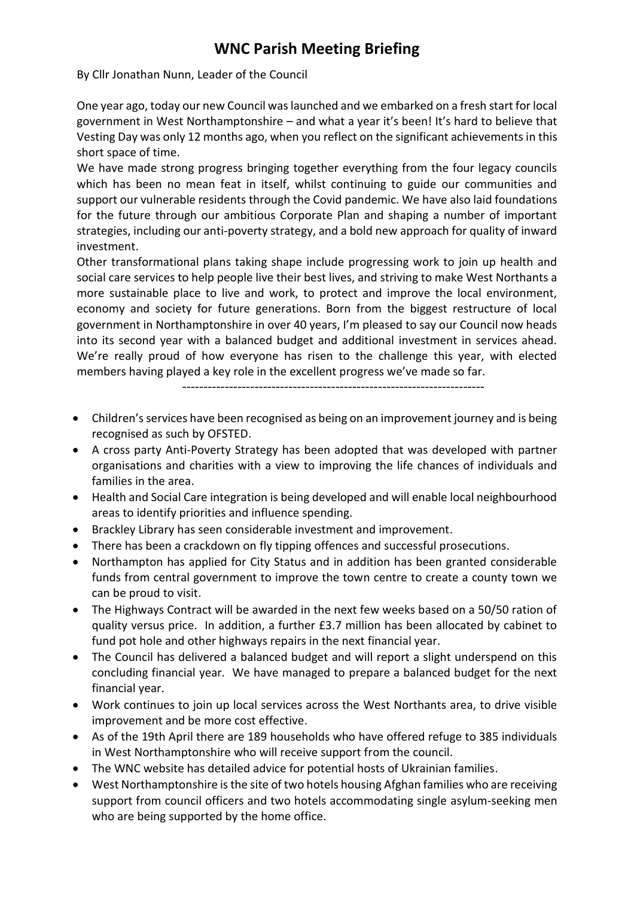## **WNC Parish Meeting Briefing**

By Cllr Jonathan Nunn, Leader of the Council

One year ago, today our new Council was launched and we embarked on a fresh start for local government in West Northamptonshire – and what a year it's been! It's hard to believe that Vesting Day was only 12 months ago, when you reflect on the significant achievements in this short space of time.

We have made strong progress bringing together everything from the four legacy councils which has been no mean feat in itself, whilst continuing to guide our communities and support our vulnerable residents through the Covid pandemic. We have also laid foundations for the future through our ambitious Corporate Plan and shaping a number of important strategies, including our anti-poverty strategy, and a bold new approach for quality of inward investment.

Other transformational plans taking shape include progressing work to join up health and social care services to help people live their best lives, and striving to make West Northants a more sustainable place to live and work, to protect and improve the local environment, economy and society for future generations. Born from the biggest restructure of local government in Northamptonshire in over 40 years, I'm pleased to say our Council now heads into its second year with a balanced budget and additional investment in services ahead. We're really proud of how everyone has risen to the challenge this year, with elected members having played a key role in the excellent progress we've made so far.

-----------------------------------------------------------------------

- Children's services have been recognised as being on an improvement journey and is being recognised as such by OFSTED.
- A cross party Anti-Poverty Strategy has been adopted that was developed with partner organisations and charities with a view to improving the life chances of individuals and families in the area.
- Health and Social Care integration is being developed and will enable local neighbourhood areas to identify priorities and influence spending.
- Brackley Library has seen considerable investment and improvement.
- There has been a crackdown on fly tipping offences and successful prosecutions.
- Northampton has applied for City Status and in addition has been granted considerable funds from central government to improve the town centre to create a county town we can be proud to visit.
- The Highways Contract will be awarded in the next few weeks based on a 50/50 ration of quality versus price. In addition, a further £3.7 million has been allocated by cabinet to fund pot hole and other highways repairs in the next financial year.
- The Council has delivered a balanced budget and will report a slight underspend on this concluding financial year. We have managed to prepare a balanced budget for the next financial year.
- Work continues to join up local services across the West Northants area, to drive visible improvement and be more cost effective.
- As of the 19th April there are 189 households who have offered refuge to 385 individuals in West Northamptonshire who will receive support from the council.
- The WNC website has detailed advice for potential hosts of Ukrainian families.
- West Northamptonshire is the site of two hotels housing Afghan families who are receiving support from council officers and two hotels accommodating single asylum-seeking men who are being supported by the home office.